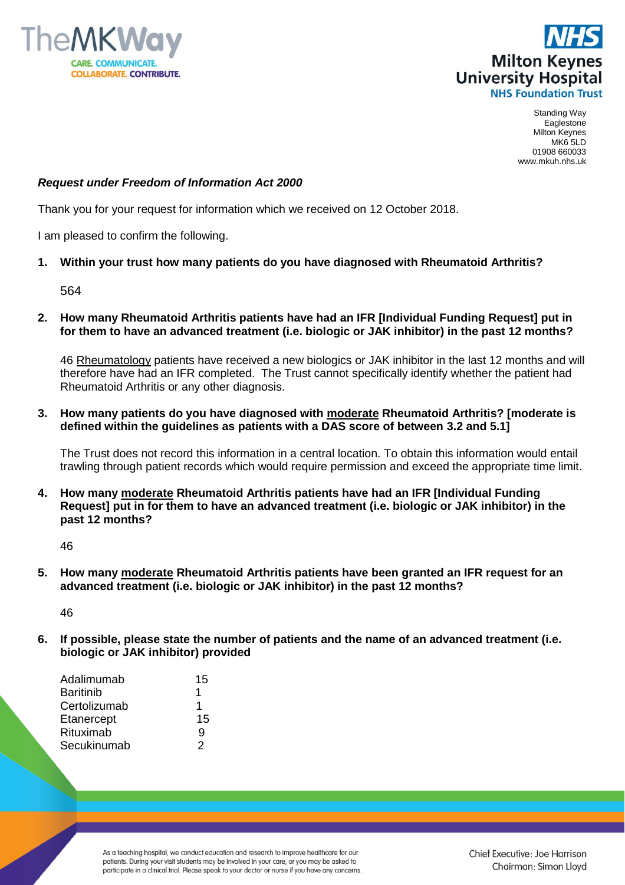



Standing Way Eaglestone Milton Keynes MK6 5LD 01908 660033 www.mkuh.nhs.uk

## *Request under Freedom of Information Act 2000*

Thank you for your request for information which we received on 12 October 2018.

I am pleased to confirm the following.

## **1. Within your trust how many patients do you have diagnosed with Rheumatoid Arthritis?**

564

**2. How many Rheumatoid Arthritis patients have had an IFR [Individual Funding Request] put in for them to have an advanced treatment (i.e. biologic or JAK inhibitor) in the past 12 months?**

46 Rheumatology patients have received a new biologics or JAK inhibitor in the last 12 months and will therefore have had an IFR completed. The Trust cannot specifically identify whether the patient had Rheumatoid Arthritis or any other diagnosis.

**3. How many patients do you have diagnosed with moderate Rheumatoid Arthritis? [moderate is defined within the guidelines as patients with a DAS score of between 3.2 and 5.1]**

The Trust does not record this information in a central location. To obtain this information would entail trawling through patient records which would require permission and exceed the appropriate time limit.

**4. How many moderate Rheumatoid Arthritis patients have had an IFR [Individual Funding Request] put in for them to have an advanced treatment (i.e. biologic or JAK inhibitor) in the past 12 months?**

46

**5. How many moderate Rheumatoid Arthritis patients have been granted an IFR request for an advanced treatment (i.e. biologic or JAK inhibitor) in the past 12 months?**

46

**6. If possible, please state the number of patients and the name of an advanced treatment (i.e. biologic or JAK inhibitor) provided**

| Adalimumab   | 15 |
|--------------|----|
| Baritinib    | 1  |
| Certolizumab |    |
| Etanercept   | 15 |
| Rituximab    | g  |
| Secukinumab  | 2  |

As a teaching hospital, we conduct education and research to improve healthcare for our patients. During your visit students may be involved in your care, or you may be asked to participate in a clinical trial. Please speak to your doctor or nurse if you have any concerns.